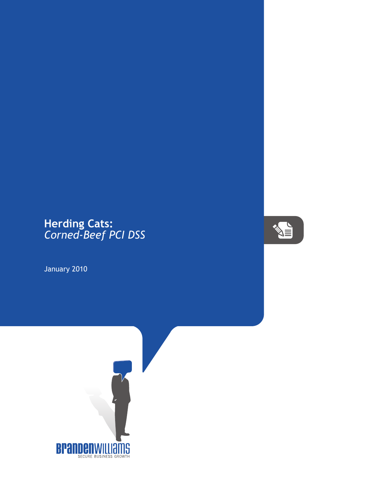## **Herding Cats:** *Corned-Beef PCI DSS*

January 2010



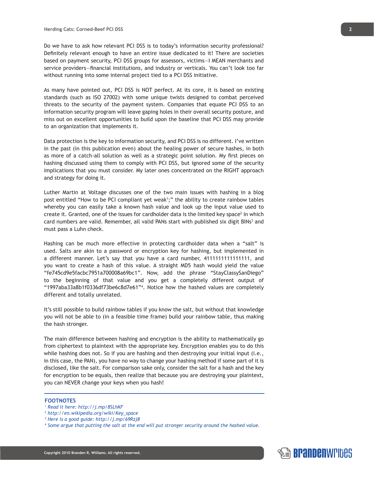Do we have to ask how relevant PCI DSS is to today's information security professional? Definitely relevant enough to have an entire issue dedicated to it! There are societies based on payment security, PCI DSS groups for assessors, victims—I MEAN merchants and service providers—financial institutions, and industry or verticals. You can't look too far without running into some internal project tied to a PCI DSS initiative.

As many have pointed out, PCI DSS is NOT perfect. At its core, it is based on existing standards (such as ISO 27002) with some unique twists designed to combat perceived threats to the security of the payment system. Companies that equate PCI DSS to an information security program will leave gaping holes in their overall security posture, and miss out on excellent opportunities to build upon the baseline that PCI DSS may provide to an organization that implements it.

Data protection is the key to information security, and PCI DSS is no different. I've written in the past (in this publication even) about the healing power of secure hashes, in both as more of a catch-all solution as well as a strategic point solution. My first pieces on hashing discussed using them to comply with PCI DSS, but ignored some of the security implications that you must consider. My later ones concentrated on the RIGHT approach and strategy for doing it.

Luther Martin at Voltage discusses one of the two main issues with hashing in a blog post entitled "How to be PCI compliant yet weak<sup>1</sup>;" the ability to create rainbow tables whereby you can easily take a known hash value and look up the input value used to create it. Granted, one of the issues for cardholder data is the limited key space<sup>2</sup> in which card numbers are valid. Remember, all valid PANs start with published six digit BINs<sup>3</sup> and must pass a Luhn check.

Hashing can be much more effective in protecting cardholder data when a "salt" is used. Salts are akin to a password or encryption key for hashing, but implemented in a different manner. Let's say that you have a card number, 4111111111111111, and you want to create a hash of this value. A straight MD5 hash would yield the value "fe745cd9e5facbc7951a700008a69bc1". Now, add the phrase "StayClassySanDiego" to the beginning of that value and you get a completely different output of "1997aba33a8b1f0336df73be6c8d7e61"4 . Notice how the hashed values are completely different and totally unrelated.

It's still possible to build rainbow tables if you know the salt, but without that knowledge you will not be able to (in a feasible time frame) build your rainbow table, thus making the hash stronger.

The main difference between hashing and encryption is the ability to mathematically go from ciphertext to plaintext with the appropriate key. Encryption enables you to do this while hashing does not. So if you are hashing and then destroying your initial input (i.e., in this case, the PAN), you have no way to change your hashing method if some part of it is disclosed, like the salt. For comparison sake only, consider the salt for a hash and the key for encryption to be equals, then realize that because you are destroying your plaintext, you can NEVER change your keys when you hash!

## **FOOTNOTES**

- *1 Read it here: http://j.mp/8SLhKF*
- *2 http://en.wikipedia.org/wiki/Key\_space*
- *3 Here is a good guide: http://j.mp/69Rzj8*
- *4 Some argue that putting the salt at the end will put stronger security around the hashed value.*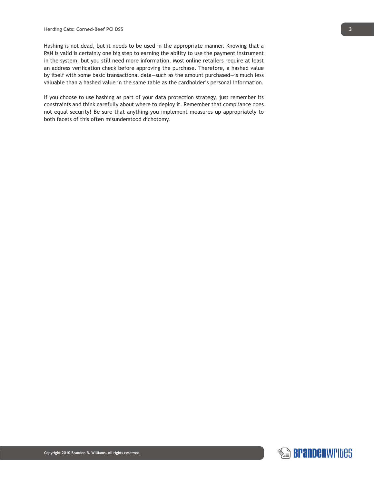Hashing is not dead, but it needs to be used in the appropriate manner. Knowing that a PAN is valid is certainly one big step to earning the ability to use the payment instrument in the system, but you still need more information. Most online retailers require at least an address verification check before approving the purchase. Therefore, a hashed value by itself with some basic transactional data—such as the amount purchased—is much less valuable than a hashed value in the same table as the cardholder's personal information.

If you choose to use hashing as part of your data protection strategy, just remember its constraints and think carefully about where to deploy it. Remember that compliance does not equal security! Be sure that anything you implement measures up appropriately to both facets of this often misunderstood dichotomy.